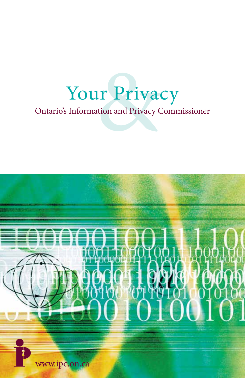# Your Privacy

Ontario's Information and Privacy Commissioner

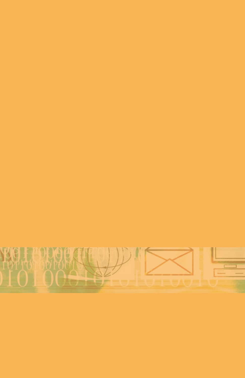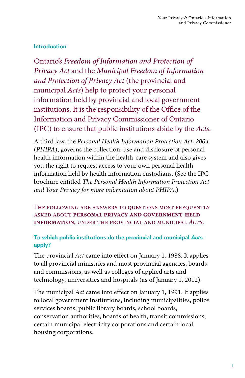## **Introduction**

Ontario's *Freedom of Information and Protection of Privacy Act* and the *Municipal Freedom of Information and Protection of Privacy Act* (the provincial and municipal *Acts*) help to protect your personal information held by provincial and local government institutions. It is the responsibility of the Office of the Information and Privacy Commissioner of Ontario (IPC) to ensure that public institutions abide by the *Acts*.

A third law, the *Personal Health Information Protection Act, 2004* (*PHIPA*), governs the collection, use and disclosure of personal health information within the health-care system and also gives you the right to request access to your own personal health information held by health information custodians. (See the IPC brochure entitled *The Personal Health Information Protection Act and Your Privacy for more information about PHIPA*.)

The following are answers to questions most frequently asked about **personal privacy and government-held information**, under the provincial and municipal *Acts*.

#### **To which public institutions do the provincial and municipal Acts apply?**

The provincial *Act* came into effect on January 1, 1988. It applies to all provincial ministries and most provincial agencies, boards and commissions, as well as colleges of applied arts and technology, universities and hospitals (as of January 1, 2012).

The municipal *Act* came into effect on January 1, 1991. It applies to local government institutions, including municipalities, police services boards, public library boards, school boards, conservation authorities, boards of health, transit commissions, certain municipal electricity corporations and certain local housing corporations.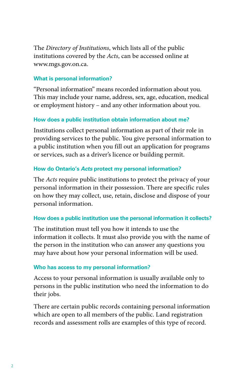The *Directory of Institutions*, which lists all of the public institutions covered by the *Acts*, can be accessed online at www.mgs.gov.on.ca.

#### **What is personal information?**

"Personal information" means recorded information about you. This may include your name, address, sex, age, education, medical or employment history – and any other information about you.

#### **How does a public institution obtain information about me?**

Institutions collect personal information as part of their role in providing services to the public. You give personal information to a public institution when you fill out an application for programs or services, such as a driver's licence or building permit.

#### **How do Ontario's Acts protect my personal information?**

The *Acts* require public institutions to protect the privacy of your personal information in their possession. There are specific rules on how they may collect, use, retain, disclose and dispose of your personal information.

#### **How does a public institution use the personal information it collects?**

The institution must tell you how it intends to use the information it collects. It must also provide you with the name of the person in the institution who can answer any questions you may have about how your personal information will be used.

#### **Who has access to my personal information?**

Access to your personal information is usually available only to persons in the public institution who need the information to do their jobs.

There are certain public records containing personal information which are open to all members of the public. Land registration records and assessment rolls are examples of this type of record.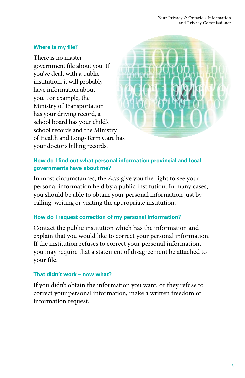#### Your Privacy & Ontario's Information and Privacy Commissioner

#### **Where is my file?**

There is no master government file about you. If you've dealt with a public institution, it will probably have information about you. For example, the Ministry of Transportation has your driving record, a school board has your child's school records and the Ministry of Health and Long-Term Care has your doctor's billing records.



## **How do I find out what personal information provincial and local governments have about me?**

In most circumstances, the *Acts* give you the right to see your personal information held by a public institution. In many cases, you should be able to obtain your personal information just by calling, writing or visiting the appropriate institution.

#### **How do I request correction of my personal information?**

Contact the public institution which has the information and explain that you would like to correct your personal information. If the institution refuses to correct your personal information, you may require that a statement of disagreement be attached to your file.

#### **That didn't work – now what?**

If you didn't obtain the information you want, or they refuse to correct your personal information, make a written freedom of information request.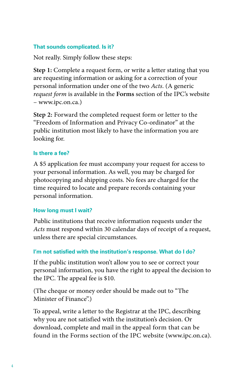#### **That sounds complicated. Is it?**

Not really. Simply follow these steps:

**Step 1:** Complete a request form, or write a letter stating that you are requesting information or asking for a correction of your personal information under one of the two *Acts*. (A generic *request form* is available in the **Forms** section of the IPC's website – www.ipc.on.ca.)

**Step 2:** Forward the completed request form or letter to the "Freedom of Information and Privacy Co-ordinator" at the public institution most likely to have the information you are looking for.

#### **Is there a fee?**

A \$5 application fee must accompany your request for access to your personal information. As well, you may be charged for photocopying and shipping costs. No fees are charged for the time required to locate and prepare records containing your personal information.

#### **How long must I wait?**

Public institutions that receive information requests under the *Acts* must respond within 30 calendar days of receipt of a request, unless there are special circumstances.

#### **I'm not satisfied with the institution's response. What do I do?**

If the public institution won't allow you to see or correct your personal information, you have the right to appeal the decision to the IPC. The appeal fee is \$10.

(The cheque or money order should be made out to "The Minister of Finance".)

To appeal, write a letter to the Registrar at the IPC, describing why you are not satisfied with the institution's decision. Or download, complete and mail in the appeal form that can be found in the Forms section of the IPC website (www.ipc.on.ca).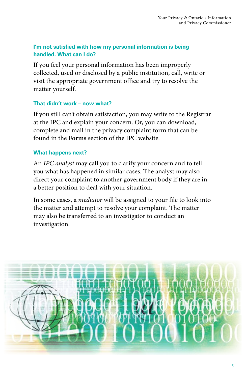#### **I'm not satisfied with how my personal information is being handled. What can I do?**

If you feel your personal information has been improperly collected, used or disclosed by a public institution, call, write or visit the appropriate government office and try to resolve the matter yourself.

#### **That didn't work – now what?**

If you still can't obtain satisfaction, you may write to the Registrar at the IPC and explain your concern. Or, you can download, complete and mail in the privacy complaint form that can be found in the **Forms** section of the IPC website.

#### **What happens next?**

An *IPC analyst* may call you to clarify your concern and to tell you what has happened in similar cases. The analyst may also direct your complaint to another government body if they are in a better position to deal with your situation.

In some cases, a *mediator* will be assigned to your file to look into the matter and attempt to resolve your complaint. The matter may also be transferred to an investigator to conduct an investigation.

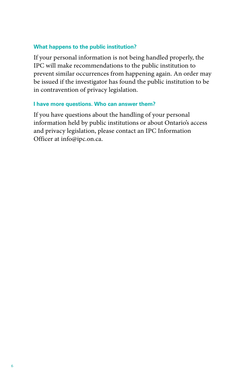#### **What happens to the public institution?**

If your personal information is not being handled properly, the IPC will make recommendations to the public institution to prevent similar occurrences from happening again. An order may be issued if the investigator has found the public institution to be in contravention of privacy legislation.

#### **I have more questions. Who can answer them?**

If you have questions about the handling of your personal information held by public institutions or about Ontario's access and privacy legislation, please contact an IPC Information Officer at info@ipc.on.ca.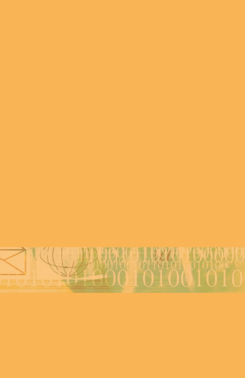